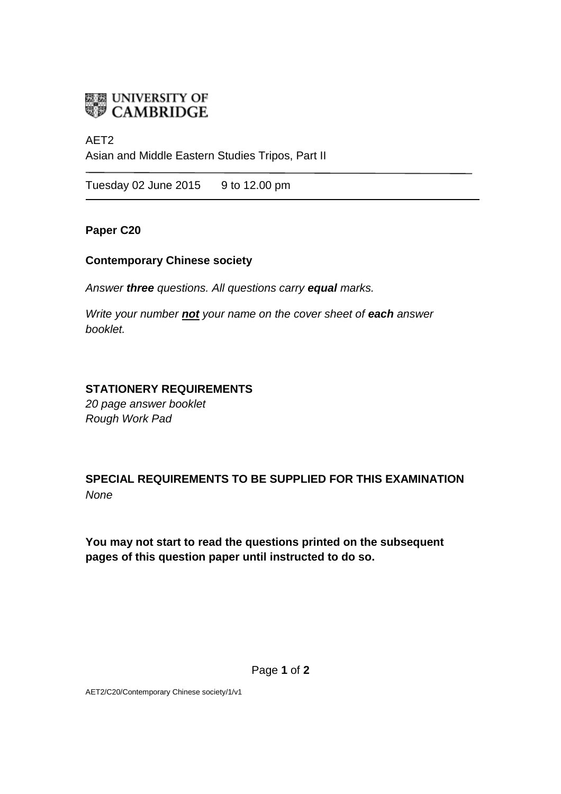

# AET2 Asian and Middle Eastern Studies Tripos, Part II

Tuesday 02 June 2015 9 to 12.00 pm

### **Paper C20**

### **Contemporary Chinese society**

*Answer three questions. All questions carry equal marks.*

*Write your number not your name on the cover sheet of each answer booklet.* 

## **STATIONERY REQUIREMENTS**

*20 page answer booklet Rough Work Pad*

**SPECIAL REQUIREMENTS TO BE SUPPLIED FOR THIS EXAMINATION** *None*

**You may not start to read the questions printed on the subsequent pages of this question paper until instructed to do so.**

AET2/C20/Contemporary Chinese society/1/v1